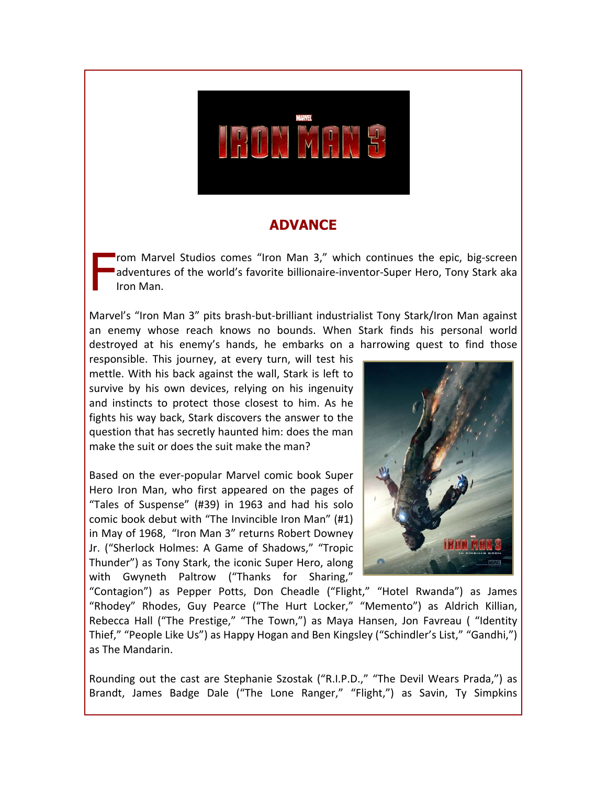

### **ADVANCE**

From Marvel Studios comes "Iron Man 3," which continues the epic, big-screen adventures of the world's favorite billionaire-inventor-Super Hero, Tony Stark aka Iron!Man. F

Marvel's "Iron Man 3" pits brash-but-brilliant industrialist Tony Stark/Iron Man against an enemy whose reach knows no bounds. When Stark finds his personal world destroyed at his enemy's hands, he embarks on a harrowing quest to find those

responsible. This journey, at every turn, will test his mettle. With his back against the wall, Stark is left to survive by his own devices, relying on his ingenuity and instincts to protect those closest to him. As he fights his way back, Stark discovers the answer to the question that has secretly haunted him: does the man make the suit or does the suit make the man?

Based on the ever-popular Marvel comic book Super Hero Iron Man, who first appeared on the pages of "Tales of Suspense" (#39) in 1963 and had his solo comic book debut with "The Invincible Iron Man" (#1) in May of 1968, "Iron Man 3" returns Robert Downey Jr. ("Sherlock Holmes: A Game of Shadows," "Tropic Thunder") as Tony Stark, the iconic Super Hero, along with Gwyneth Paltrow ("Thanks for Sharing,"



"Contagion") as Pepper Potts, Don Cheadle ("Flight," "Hotel Rwanda") as James "Rhodey" Rhodes, Guy Pearce ("The Hurt Locker," "Memento") as Aldrich Killian, Rebecca Hall ("The Prestige," "The Town,") as Maya Hansen, Jon Favreau ("Identity Thief," "People Like Us") as Happy Hogan and Ben Kingsley ("Schindler's List," "Gandhi,") as The Mandarin.

Rounding out the cast are Stephanie Szostak ("R.I.P.D.," "The Devil Wears Prada,") as Brandt, James Badge Dale ("The Lone Ranger," "Flight,") as Savin, Ty Simpkins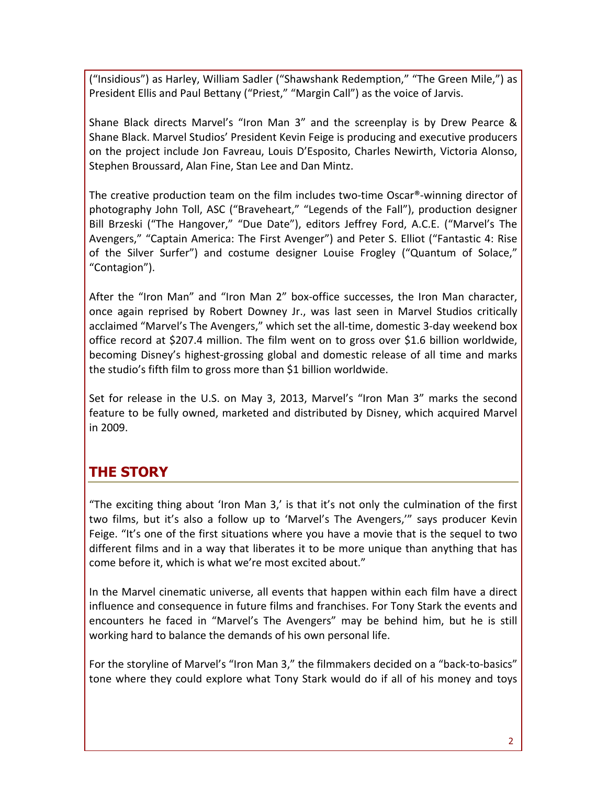("Insidious") as Harley, William Sadler ("Shawshank Redemption," "The Green Mile,") as President Ellis and Paul Bettany ("Priest," "Margin Call") as the voice of Jarvis.

Shane Black directs Marvel's "Iron Man 3" and the screenplay is by Drew Pearce & Shane Black. Marvel Studios' President Kevin Feige is producing and executive producers on the project include Jon Favreau, Louis D'Esposito, Charles Newirth, Victoria Alonso, Stephen Broussard, Alan Fine, Stan Lee and Dan Mintz.

The creative production team on the film includes two-time Oscar®-winning director of photography John Toll, ASC ("Braveheart," "Legends of the Fall"), production designer Bill Brzeski ("The Hangover," "Due Date"), editors Jeffrey Ford, A.C.E. ("Marvel's The Avengers," "Captain America: The First Avenger") and Peter S. Elliot ("Fantastic 4: Rise of the Silver Surfer") and costume designer Louise Frogley ("Quantum of Solace," "Contagion").

After the "Iron Man" and "Iron Man 2" box-office successes, the Iron Man character, once again reprised by Robert Downey Jr., was last seen in Marvel Studios critically acclaimed "Marvel's The Avengers," which set the all-time, domestic 3-day weekend box office record at \$207.4 million. The film went on to gross over \$1.6 billion worldwide, becoming Disney's highest-grossing global and domestic release of all time and marks the studio's fifth film to gross more than \$1 billion worldwide.

Set for release in the U.S. on May 3, 2013, Marvel's "Iron Man 3" marks the second feature to be fully owned, marketed and distributed by Disney, which acquired Marvel in!2009.

### **THE STORY**

"The exciting thing about 'Iron Man 3,' is that it's not only the culmination of the first two films, but it's also a follow up to 'Marvel's The Avengers,'" says producer Kevin Feige. "It's one of the first situations where you have a movie that is the sequel to two different films and in a way that liberates it to be more unique than anything that has come before it, which is what we're most excited about."

In the Marvel cinematic universe, all events that happen within each film have a direct influence and consequence in future films and franchises. For Tony Stark the events and encounters he faced in "Marvel's The Avengers" may be behind him, but he is still working hard to balance the demands of his own personal life.

For the storyline of Marvel's "Iron Man 3," the filmmakers decided on a "back-to-basics" tone where they could explore what Tony Stark would do if all of his money and toys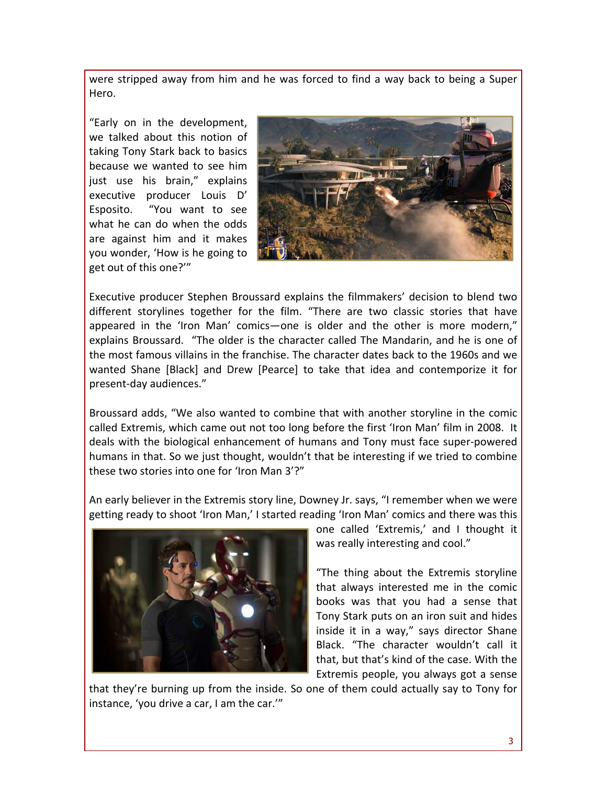were stripped away from him and he was forced to find a way back to being a Super Hero.

"Early on in the development, we talked about this notion of taking Tony Stark back to basics because we wanted to see him just use his brain," explains executive producer Louis D' Esposito. "You want to see what he can do when the odds are against him and it makes you wonder, 'How is he going to get out of this one?""



Executive producer Stephen Broussard explains the filmmakers' decision to blend two different storylines together for the film. "There are two classic stories that have appeared in the 'Iron Man' comics—one is older and the other is more modern," explains Broussard. "The older is the character called The Mandarin, and he is one of the most famous villains in the franchise. The character dates back to the 1960s and we wanted Shane [Black] and Drew [Pearce] to take that idea and contemporize it for present-day audiences."

Broussard adds, "We also wanted to combine that with another storyline in the comic called Extremis, which came out not too long before the first 'Iron Man' film in 2008. It deals with the biological enhancement of humans and Tony must face super-powered humans in that. So we just thought, wouldn't that be interesting if we tried to combine these two stories into one for 'Iron Man 3'?"

An early believer in the Extremis story line, Downey Jr. says, "I remember when we were getting ready to shoot 'Iron Man,' I started reading 'Iron Man' comics and there was this



one called 'Extremis,' and I thought it was really interesting and cool."

"The thing about the Extremis storyline that always interested me in the comic books was that you had a sense that Tony Stark puts on an iron suit and hides inside it in a way," says director Shane Black. "The character wouldn't call it that, but that's kind of the case. With the Extremis people, you always got a sense

that they're burning up from the inside. So one of them could actually say to Tony for instance, 'you drive a car, I am the car.'"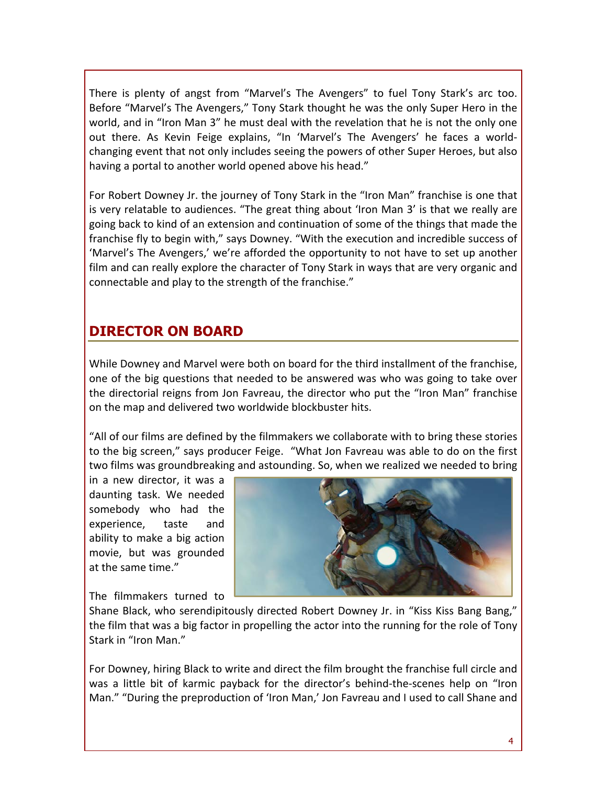There is plenty of angst from "Marvel's The Avengers" to fuel Tony Stark's arc too. Before "Marvel's The Avengers," Tony Stark thought he was the only Super Hero in the world, and in "Iron Man 3" he must deal with the revelation that he is not the only one out there. As Kevin Feige explains, "In 'Marvel's The Avengers' he faces a worldchanging event that not only includes seeing the powers of other Super Heroes, but also having a portal to another world opened above his head."

For Robert Downey Jr. the journey of Tony Stark in the "Iron Man" franchise is one that is very relatable to audiences. "The great thing about 'Iron Man 3' is that we really are going back to kind of an extension and continuation of some of the things that made the franchise fly to begin with," says Downey. "With the execution and incredible success of 'Marvel's The Avengers,' we're afforded the opportunity to not have to set up another film and can really explore the character of Tony Stark in ways that are very organic and connectable and play to the strength of the franchise."

# **DIRECTOR ON BOARD**

While Downey and Marvel were both on board for the third installment of the franchise, one of the big questions that needed to be answered was who was going to take over the directorial reigns from Jon Favreau, the director who put the "Iron Man" franchise on the map and delivered two worldwide blockbuster hits.

"All of our films are defined by the filmmakers we collaborate with to bring these stories to the big screen," says producer Feige. "What Jon Favreau was able to do on the first two films was groundbreaking and astounding. So, when we realized we needed to bring

in a new director, it was a daunting task. We needed somebody who had the experience, taste and ability to make a big action movie, but was grounded at the same time."

The filmmakers turned to



Shane Black, who serendipitously directed Robert Downey Jr. in "Kiss Kiss Bang Bang," the film that was a big factor in propelling the actor into the running for the role of Tony Stark in "Iron Man."

For Downey, hiring Black to write and direct the film brought the franchise full circle and was a little bit of karmic payback for the director's behind-the-scenes help on "Iron" Man." "During the preproduction of 'Iron Man,' Jon Favreau and I used to call Shane and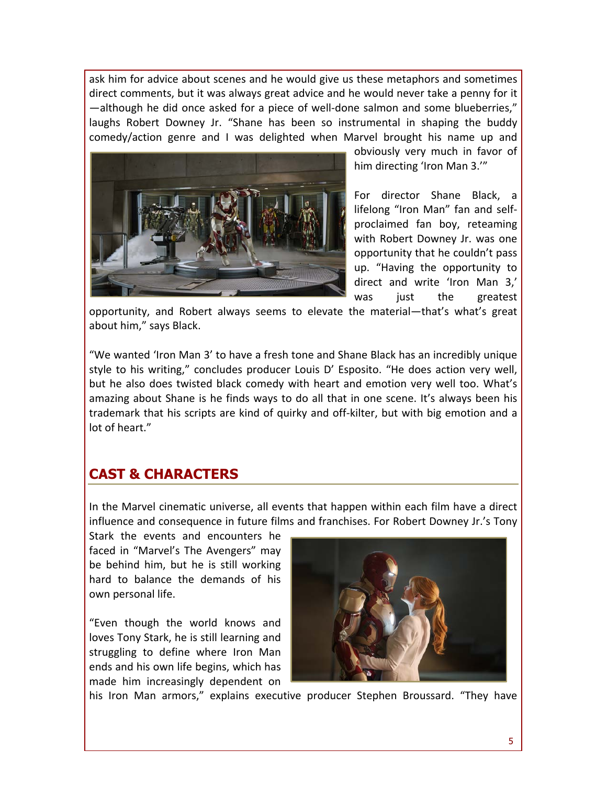ask him for advice about scenes and he would give us these metaphors and sometimes direct comments, but it was always great advice and he would never take a penny for it —although he did once asked for a piece of well-done salmon and some blueberries," laughs Robert Downey Jr. "Shane has been so instrumental in shaping the buddy comedy/action genre and I was delighted when Marvel brought his name up and



obviously very much in favor of him directing 'Iron Man 3.'"

For director Shane Black, a lifelong "Iron Man" fan and selfproclaimed fan boy, reteaming with Robert Downey Jr. was one opportunity that he couldn't pass up. "Having the opportunity to direct and write 'Iron Man 3,' was just the greatest

opportunity, and Robert always seems to elevate the material—that's what's great about him," says Black.

"We wanted 'Iron Man 3' to have a fresh tone and Shane Black has an incredibly unique style to his writing," concludes producer Louis D' Esposito. "He does action very well, but he also does twisted black comedy with heart and emotion very well too. What's amazing about Shane is he finds ways to do all that in one scene. It's always been his trademark that his scripts are kind of quirky and off-kilter, but with big emotion and a lot of heart."

### **CAST & CHARACTERS**

In the Marvel cinematic universe, all events that happen within each film have a direct influence and consequence in future films and franchises. For Robert Downey Jr.'s Tony

Stark the events and encounters he faced in "Marvel's The Avengers" may be behind him, but he is still working hard to balance the demands of his own personal life.

"Even though the world knows and loves Tony Stark, he is still learning and struggling to define where Iron Man ends and his own life begins, which has made him increasingly dependent on



his Iron Man armors," explains executive producer Stephen Broussard. "They have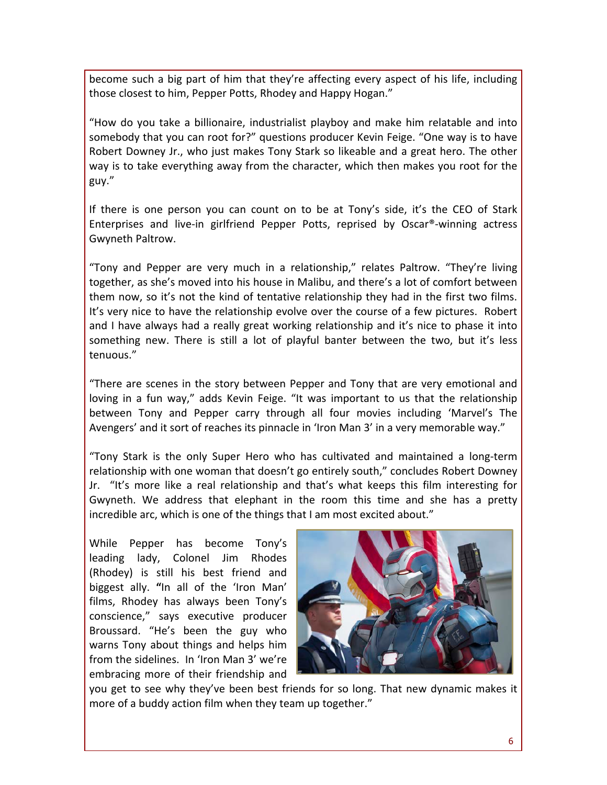become such a big part of him that they're affecting every aspect of his life, including those closest to him, Pepper Potts, Rhodey and Happy Hogan."

"How do you take a billionaire, industrialist playboy and make him relatable and into somebody that you can root for?" questions producer Kevin Feige. "One way is to have Robert Downey Jr., who just makes Tony Stark so likeable and a great hero. The other way is to take everything away from the character, which then makes you root for the guy."

If there is one person you can count on to be at Tony's side, it's the CEO of Stark Enterprises and live-in girlfriend Pepper Potts, reprised by Oscar®-winning actress Gwyneth Paltrow.

"Tony and Pepper are very much in a relationship," relates Paltrow. "They're living together, as she's moved into his house in Malibu, and there's a lot of comfort between them now, so it's not the kind of tentative relationship they had in the first two films. It's very nice to have the relationship evolve over the course of a few pictures. Robert and I have always had a really great working relationship and it's nice to phase it into something new. There is still a lot of playful banter between the two, but it's less tenuous."

"There are scenes in the story between Pepper and Tony that are very emotional and loving in a fun way," adds Kevin Feige. "It was important to us that the relationship between Tony and Pepper carry through all four movies including 'Marvel's The Avengers' and it sort of reaches its pinnacle in 'Iron Man 3' in a very memorable way."

"Tony Stark is the only Super Hero who has cultivated and maintained a long-term relationship with one woman that doesn't go entirely south," concludes Robert Downey Jr. "It's more like a real relationship and that's what keeps this film interesting for Gwyneth. We address that elephant in the room this time and she has a pretty incredible arc, which is one of the things that I am most excited about."

While Pepper has become Tony's leading lady, Colonel Jim Rhodes (Rhodey) is still his best friend and biggest ally. "In all of the 'Iron Man' films, Rhodey has always been Tony's conscience," says executive producer Broussard. "He's been the guy who warns Tony about things and helps him from the sidelines. In 'Iron Man 3' we're embracing more of their friendship and



you get to see why they've been best friends for so long. That new dynamic makes it more of a buddy action film when they team up together."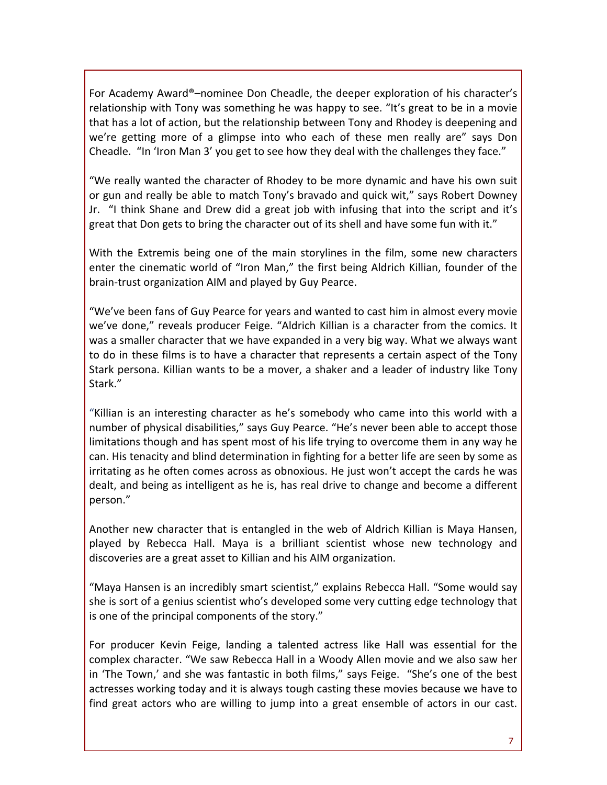For Academy Award®–nominee Don Cheadle, the deeper exploration of his character's relationship with Tony was something he was happy to see. "It's great to be in a movie that has a lot of action, but the relationship between Tony and Rhodey is deepening and we're getting more of a glimpse into who each of these men really are" says Don Cheadle. "In 'Iron Man 3' you get to see how they deal with the challenges they face."

"We really wanted the character of Rhodey to be more dynamic and have his own suit or gun and really be able to match Tony's bravado and quick wit," says Robert Downey Jr. "I think Shane and Drew did a great job with infusing that into the script and it's great that Don gets to bring the character out of its shell and have some fun with it."

With the Extremis being one of the main storylines in the film, some new characters enter the cinematic world of "Iron Man," the first being Aldrich Killian, founder of the brain-trust organization AIM and played by Guy Pearce.

"We've been fans of Guy Pearce for years and wanted to cast him in almost every movie we've done," reveals producer Feige. "Aldrich Killian is a character from the comics. It was a smaller character that we have expanded in a very big way. What we always want to do in these films is to have a character that represents a certain aspect of the Tony Stark persona. Killian wants to be a mover, a shaker and a leader of industry like Tony Stark."

"Killian is an interesting character as he's somebody who came into this world with a number of physical disabilities," says Guy Pearce. "He's never been able to accept those limitations though and has spent most of his life trying to overcome them in any way he can. His tenacity and blind determination in fighting for a better life are seen by some as irritating as he often comes across as obnoxious. He just won't accept the cards he was dealt, and being as intelligent as he is, has real drive to change and become a different person."

Another new character that is entangled in the web of Aldrich Killian is Maya Hansen, played by Rebecca Hall. Maya is a brilliant scientist whose new technology and discoveries are a great asset to Killian and his AIM organization.

"Maya Hansen is an incredibly smart scientist," explains Rebecca Hall. "Some would say she is sort of a genius scientist who's developed some very cutting edge technology that is one of the principal components of the story."

For producer Kevin Feige, landing a talented actress like Hall was essential for the complex character. "We saw Rebecca Hall in a Woody Allen movie and we also saw her in 'The Town,' and she was fantastic in both films," says Feige. "She's one of the best actresses working today and it is always tough casting these movies because we have to find great actors who are willing to jump into a great ensemble of actors in our cast.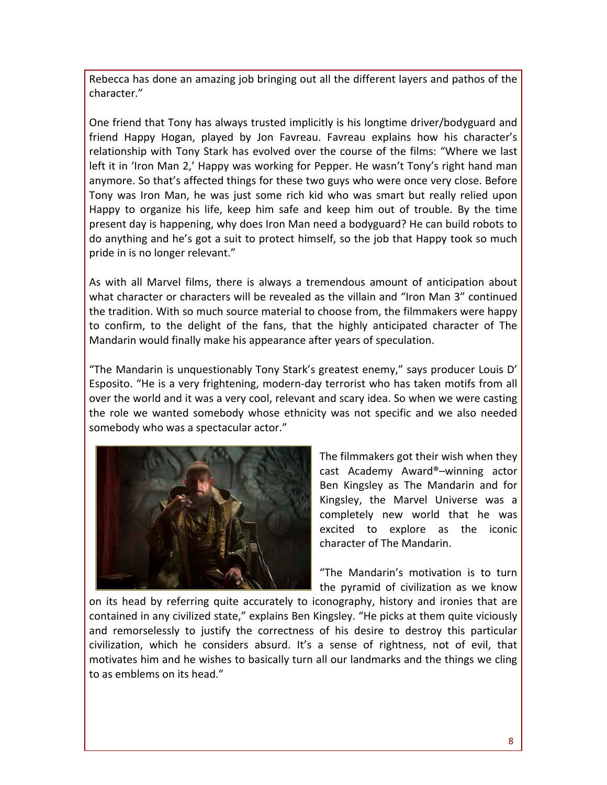Rebecca has done an amazing job bringing out all the different layers and pathos of the character."

One friend that Tony has always trusted implicitly is his longtime driver/bodyguard and friend Happy Hogan, played by Jon Favreau. Favreau explains how his character's relationship with Tony Stark has evolved over the course of the films: "Where we last left it in 'Iron Man 2,' Happy was working for Pepper. He wasn't Tony's right hand man anymore. So that's affected things for these two guys who were once very close. Before Tony was Iron Man, he was just some rich kid who was smart but really relied upon Happy to organize his life, keep him safe and keep him out of trouble. By the time present day is happening, why does Iron Man need a bodyguard? He can build robots to do anything and he's got a suit to protect himself, so the job that Happy took so much pride in is no longer relevant."

As with all Marvel films, there is always a tremendous amount of anticipation about what character or characters will be revealed as the villain and "Iron Man 3" continued the tradition. With so much source material to choose from, the filmmakers were happy to confirm, to the delight of the fans, that the highly anticipated character of The Mandarin would finally make his appearance after years of speculation.

"The Mandarin is unquestionably Tony Stark's greatest enemy," says producer Louis D' Esposito. "He is a very frightening, modern-day terrorist who has taken motifs from all over the world and it was a very cool, relevant and scary idea. So when we were casting the role we wanted somebody whose ethnicity was not specific and we also needed somebody who was a spectacular actor."



The filmmakers got their wish when they cast Academy Award®–winning actor Ben Kingsley as The Mandarin and for Kingsley, the Marvel Universe was a completely new world that he was excited to explore as the iconic character of The Mandarin.

"The Mandarin's motivation is to turn the pyramid of civilization as we know

on its head by referring quite accurately to iconography, history and ironies that are contained in any civilized state," explains Ben Kingsley. "He picks at them quite viciously and remorselessly to justify the correctness of his desire to destroy this particular civilization, which he considers absurd. It's a sense of rightness, not of evil, that motivates him and he wishes to basically turn all our landmarks and the things we cling to as emblems on its head."